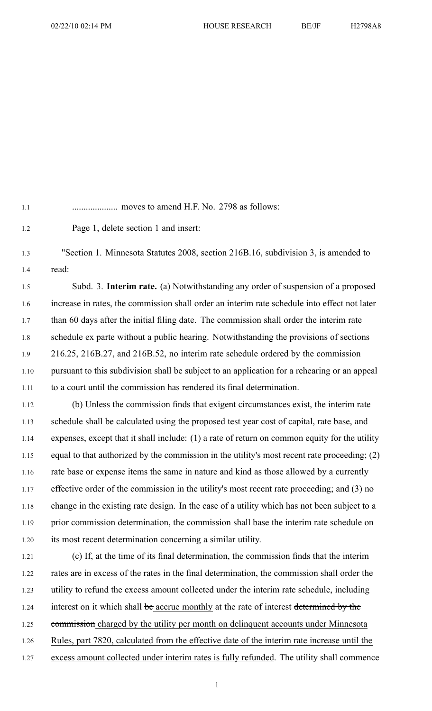1.1 .................... moves to amend H.F. No. 2798 as follows:

1.2 Page 1, delete section 1 and insert:

1.3 "Section 1. Minnesota Statutes 2008, section 216B.16, subdivision 3, is amended to 1.4 read:

1.5 Subd. 3. **Interim rate.** (a) Notwithstanding any order of suspension of <sup>a</sup> proposed 1.6 increase in rates, the commission shall order an interim rate schedule into effect not later 1.7 than 60 days after the initial filing date. The commission shall order the interim rate 1.8 schedule ex parte without <sup>a</sup> public hearing. Notwithstanding the provisions of sections 1.9 216.25, 216B.27, and 216B.52, no interim rate schedule ordered by the commission 1.10 pursuan<sup>t</sup> to this subdivision shall be subject to an application for <sup>a</sup> rehearing or an appeal 1.11 to <sup>a</sup> court until the commission has rendered its final determination.

1.12 (b) Unless the commission finds that exigent circumstances exist, the interim rate 1.13 schedule shall be calculated using the proposed test year cost of capital, rate base, and 1.14 expenses, excep<sup>t</sup> that it shall include: (1) <sup>a</sup> rate of return on common equity for the utility 1.15 equal to that authorized by the commission in the utility's most recent rate proceeding; (2) 1.16 rate base or expense items the same in nature and kind as those allowed by <sup>a</sup> currently 1.17 effective order of the commission in the utility's most recent rate proceeding; and (3) no 1.18 change in the existing rate design. In the case of <sup>a</sup> utility which has not been subject to <sup>a</sup> 1.19 prior commission determination, the commission shall base the interim rate schedule on 1.20 its most recent determination concerning <sup>a</sup> similar utility.

1.21 (c) If, at the time of its final determination, the commission finds that the interim 1.22 rates are in excess of the rates in the final determination, the commission shall order the 1.23 utility to refund the excess amount collected under the interim rate schedule, including 1.24 interest on it which shall be accrue monthly at the rate of interest determined by the 1.25 commission charged by the utility per month on delinquent accounts under Minnesota 1.26 Rules, par<sup>t</sup> 7820, calculated from the effective date of the interim rate increase until the 1.27 excess amount collected under interim rates is fully refunded. The utility shall commence

1